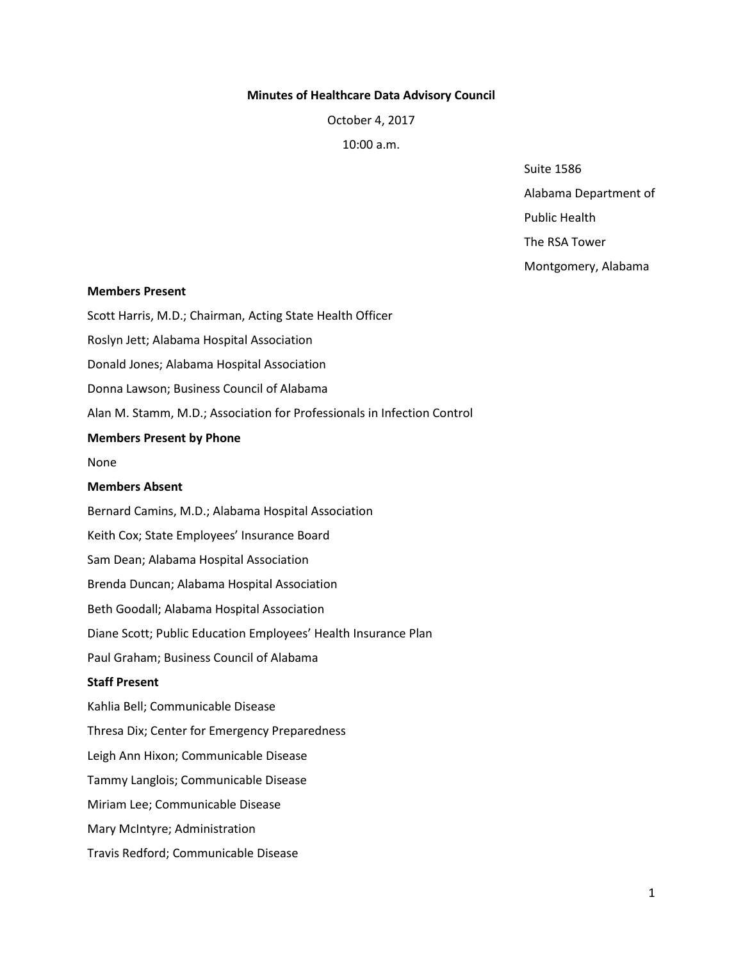# **Minutes of Healthcare Data Advisory Council**

October 4, 2017

10:00 a.m.

Suite 1586

Alabama Department of

Public Health

The RSA Tower

Montgomery, Alabama

### **Members Present**

Scott Harris, M.D.; Chairman, Acting State Health Officer Roslyn Jett; Alabama Hospital Association Donald Jones; Alabama Hospital Association Donna Lawson; Business Council of Alabama Alan M. Stamm, M.D.; Association for Professionals in Infection Control **Members Present by Phone** None **Members Absent**  Bernard Camins, M.D.; Alabama Hospital Association Keith Cox; State Employees' Insurance Board Sam Dean; Alabama Hospital Association Brenda Duncan; Alabama Hospital Association Beth Goodall; Alabama Hospital Association Diane Scott; Public Education Employees' Health Insurance Plan Paul Graham; Business Council of Alabama **Staff Present**  Kahlia Bell; Communicable Disease Thresa Dix; Center for Emergency Preparedness Leigh Ann Hixon; Communicable Disease Tammy Langlois; Communicable Disease Miriam Lee; Communicable Disease Mary McIntyre; Administration

Travis Redford; Communicable Disease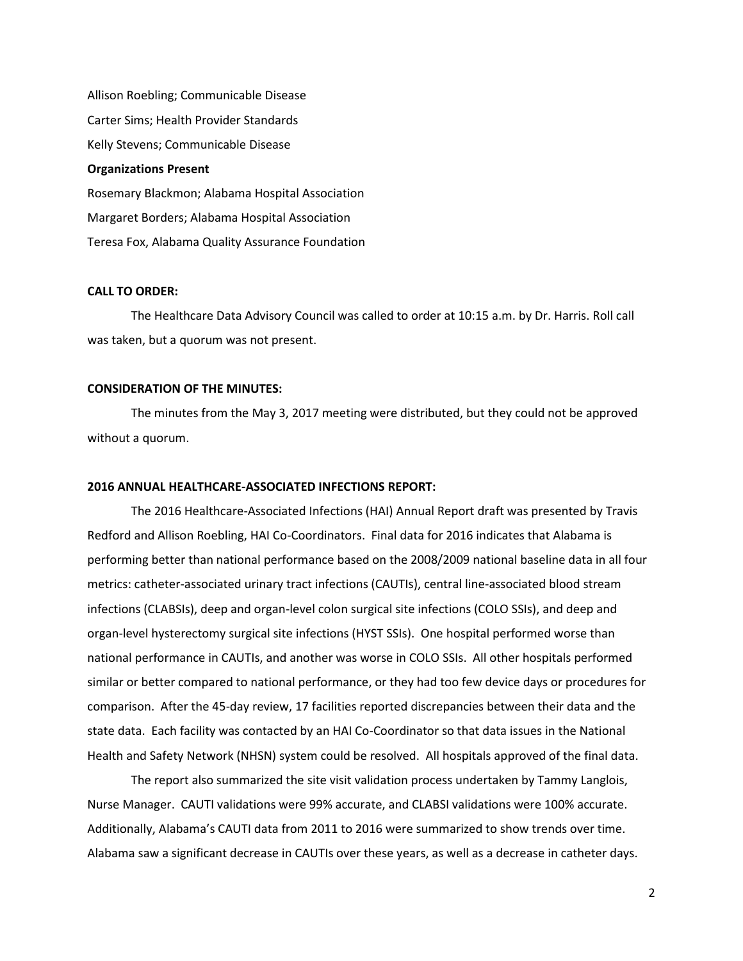Allison Roebling; Communicable Disease Carter Sims; Health Provider Standards Kelly Stevens; Communicable Disease **Organizations Present**  Rosemary Blackmon; Alabama Hospital Association Margaret Borders; Alabama Hospital Association Teresa Fox, Alabama Quality Assurance Foundation

#### **CALL TO ORDER:**

The Healthcare Data Advisory Council was called to order at 10:15 a.m. by Dr. Harris. Roll call was taken, but a quorum was not present.

# **CONSIDERATION OF THE MINUTES:**

The minutes from the May 3, 2017 meeting were distributed, but they could not be approved without a quorum.

### **2016 ANNUAL HEALTHCARE-ASSOCIATED INFECTIONS REPORT:**

The 2016 Healthcare-Associated Infections (HAI) Annual Report draft was presented by Travis Redford and Allison Roebling, HAI Co-Coordinators. Final data for 2016 indicates that Alabama is performing better than national performance based on the 2008/2009 national baseline data in all four metrics: catheter-associated urinary tract infections (CAUTIs), central line-associated blood stream infections (CLABSIs), deep and organ-level colon surgical site infections (COLO SSIs), and deep and organ-level hysterectomy surgical site infections (HYST SSIs). One hospital performed worse than national performance in CAUTIs, and another was worse in COLO SSIs. All other hospitals performed similar or better compared to national performance, or they had too few device days or procedures for comparison. After the 45-day review, 17 facilities reported discrepancies between their data and the state data. Each facility was contacted by an HAI Co-Coordinator so that data issues in the National Health and Safety Network (NHSN) system could be resolved. All hospitals approved of the final data.

The report also summarized the site visit validation process undertaken by Tammy Langlois, Nurse Manager. CAUTI validations were 99% accurate, and CLABSI validations were 100% accurate. Additionally, Alabama's CAUTI data from 2011 to 2016 were summarized to show trends over time. Alabama saw a significant decrease in CAUTIs over these years, as well as a decrease in catheter days.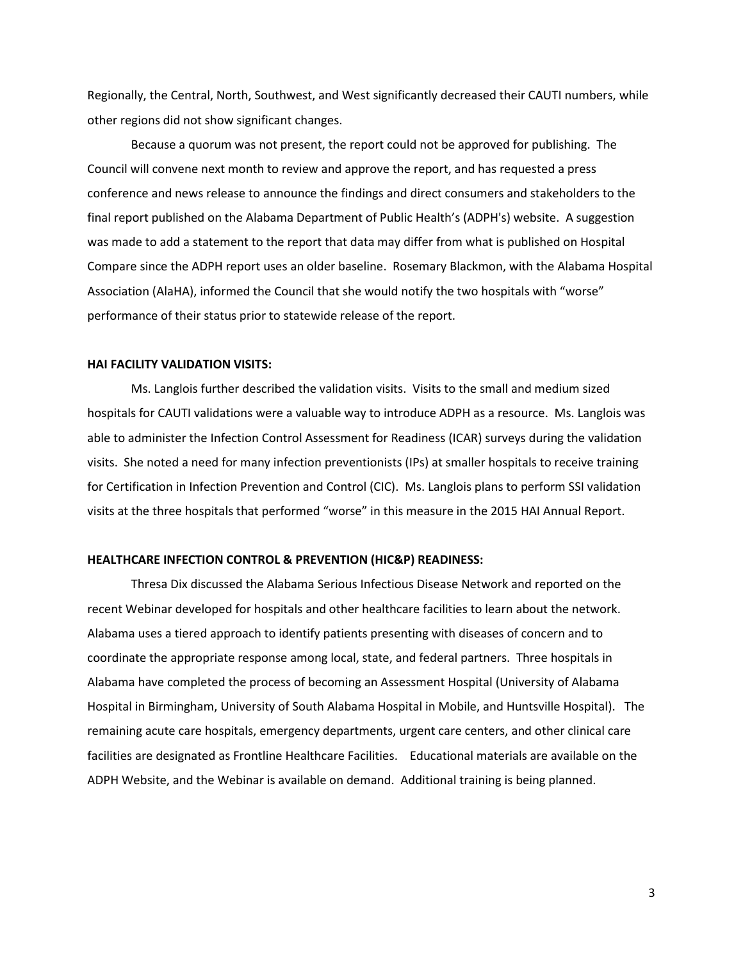Regionally, the Central, North, Southwest, and West significantly decreased their CAUTI numbers, while other regions did not show significant changes.

Because a quorum was not present, the report could not be approved for publishing. The Council will convene next month to review and approve the report, and has requested a press conference and news release to announce the findings and direct consumers and stakeholders to the final report published on the Alabama Department of Public Health's (ADPH's) website. A suggestion was made to add a statement to the report that data may differ from what is published on Hospital Compare since the ADPH report uses an older baseline. Rosemary Blackmon, with the Alabama Hospital Association (AlaHA), informed the Council that she would notify the two hospitals with "worse" performance of their status prior to statewide release of the report.

#### **HAI FACILITY VALIDATION VISITS:**

Ms. Langlois further described the validation visits. Visits to the small and medium sized hospitals for CAUTI validations were a valuable way to introduce ADPH as a resource. Ms. Langlois was able to administer the Infection Control Assessment for Readiness (ICAR) surveys during the validation visits. She noted a need for many infection preventionists (IPs) at smaller hospitals to receive training for Certification in Infection Prevention and Control (CIC). Ms. Langlois plans to perform SSI validation visits at the three hospitals that performed "worse" in this measure in the 2015 HAI Annual Report.

#### **HEALTHCARE INFECTION CONTROL & PREVENTION (HIC&P) READINESS:**

Thresa Dix discussed the Alabama Serious Infectious Disease Network and reported on the recent Webinar developed for hospitals and other healthcare facilities to learn about the network. Alabama uses a tiered approach to identify patients presenting with diseases of concern and to coordinate the appropriate response among local, state, and federal partners. Three hospitals in Alabama have completed the process of becoming an Assessment Hospital (University of Alabama Hospital in Birmingham, University of South Alabama Hospital in Mobile, and Huntsville Hospital). The remaining acute care hospitals, emergency departments, urgent care centers, and other clinical care facilities are designated as Frontline Healthcare Facilities. Educational materials are available on the ADPH Website, and the Webinar is available on demand. Additional training is being planned.